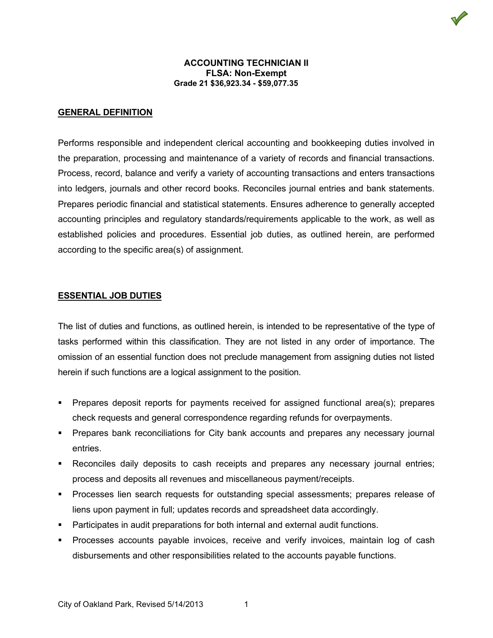## **GENERAL DEFINITION**

Performs responsible and independent clerical accounting and bookkeeping duties involved in the preparation, processing and maintenance of a variety of records and financial transactions. Process, record, balance and verify a variety of accounting transactions and enters transactions into ledgers, journals and other record books. Reconciles journal entries and bank statements. Prepares periodic financial and statistical statements. Ensures adherence to generally accepted accounting principles and regulatory standards/requirements applicable to the work, as well as established policies and procedures. Essential job duties, as outlined herein, are performed according to the specific area(s) of assignment.

### **ESSENTIAL JOB DUTIES**

The list of duties and functions, as outlined herein, is intended to be representative of the type of tasks performed within this classification. They are not listed in any order of importance. The omission of an essential function does not preclude management from assigning duties not listed herein if such functions are a logical assignment to the position.

- **Prepares deposit reports for payments received for assigned functional area(s); prepares** check requests and general correspondence regarding refunds for overpayments.
- **Prepares bank reconciliations for City bank accounts and prepares any necessary journal** entries.
- Reconciles daily deposits to cash receipts and prepares any necessary journal entries; process and deposits all revenues and miscellaneous payment/receipts.
- Processes lien search requests for outstanding special assessments; prepares release of liens upon payment in full; updates records and spreadsheet data accordingly.
- Participates in audit preparations for both internal and external audit functions.
- Processes accounts payable invoices, receive and verify invoices, maintain log of cash disbursements and other responsibilities related to the accounts payable functions.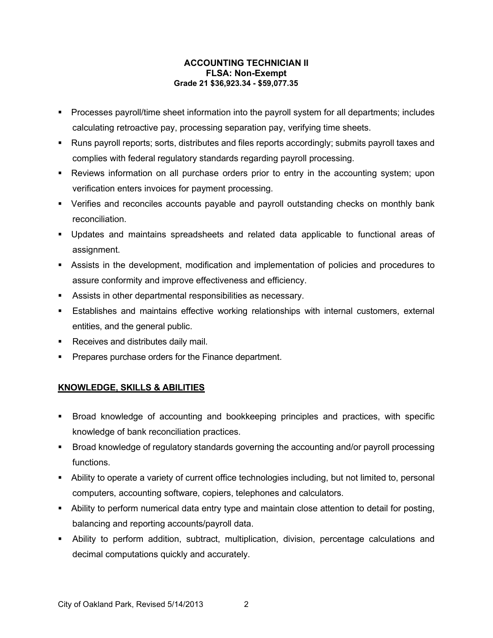- Processes payroll/time sheet information into the payroll system for all departments; includes calculating retroactive pay, processing separation pay, verifying time sheets.
- Runs payroll reports; sorts, distributes and files reports accordingly; submits payroll taxes and complies with federal regulatory standards regarding payroll processing.
- Reviews information on all purchase orders prior to entry in the accounting system; upon verification enters invoices for payment processing.
- Verifies and reconciles accounts payable and payroll outstanding checks on monthly bank reconciliation.
- Updates and maintains spreadsheets and related data applicable to functional areas of assignment.
- Assists in the development, modification and implementation of policies and procedures to assure conformity and improve effectiveness and efficiency.
- Assists in other departmental responsibilities as necessary.
- Establishes and maintains effective working relationships with internal customers, external entities, and the general public.
- Receives and distributes daily mail.
- **Prepares purchase orders for the Finance department.**

# **KNOWLEDGE, SKILLS & ABILITIES**

- Broad knowledge of accounting and bookkeeping principles and practices, with specific knowledge of bank reconciliation practices.
- Broad knowledge of regulatory standards governing the accounting and/or payroll processing functions.
- Ability to operate a variety of current office technologies including, but not limited to, personal computers, accounting software, copiers, telephones and calculators.
- Ability to perform numerical data entry type and maintain close attention to detail for posting, balancing and reporting accounts/payroll data.
- Ability to perform addition, subtract, multiplication, division, percentage calculations and decimal computations quickly and accurately.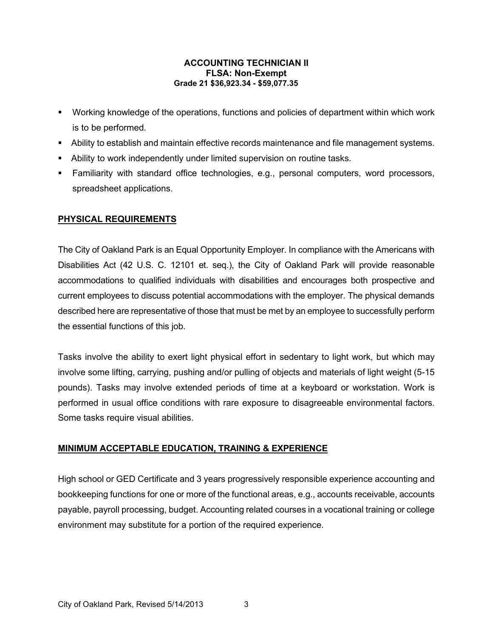- Working knowledge of the operations, functions and policies of department within which work is to be performed.
- Ability to establish and maintain effective records maintenance and file management systems.
- Ability to work independently under limited supervision on routine tasks.
- Familiarity with standard office technologies, e.g., personal computers, word processors, spreadsheet applications.

# **PHYSICAL REQUIREMENTS**

The City of Oakland Park is an Equal Opportunity Employer. In compliance with the Americans with Disabilities Act (42 U.S. C. 12101 et. seq.), the City of Oakland Park will provide reasonable accommodations to qualified individuals with disabilities and encourages both prospective and current employees to discuss potential accommodations with the employer. The physical demands described here are representative of those that must be met by an employee to successfully perform the essential functions of this job.

Tasks involve the ability to exert light physical effort in sedentary to light work, but which may involve some lifting, carrying, pushing and/or pulling of objects and materials of light weight (5-15 pounds). Tasks may involve extended periods of time at a keyboard or workstation. Work is performed in usual office conditions with rare exposure to disagreeable environmental factors. Some tasks require visual abilities.

# **MINIMUM ACCEPTABLE EDUCATION, TRAINING & EXPERIENCE**

High school or GED Certificate and 3 years progressively responsible experience accounting and bookkeeping functions for one or more of the functional areas, e.g., accounts receivable, accounts payable, payroll processing, budget. Accounting related courses in a vocational training or college environment may substitute for a portion of the required experience.